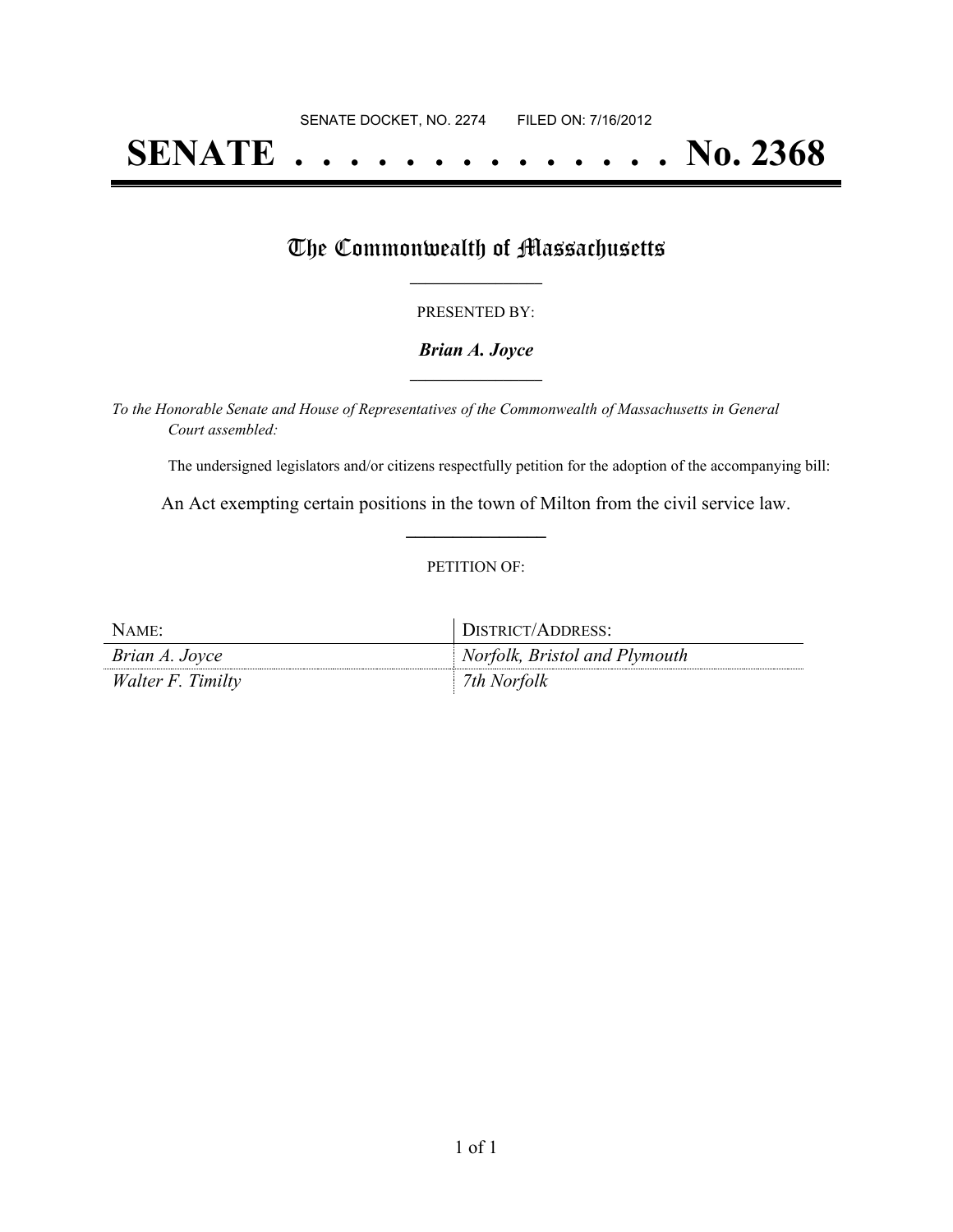# **SENATE . . . . . . . . . . . . . . No. 2368**

### The Commonwealth of Massachusetts

#### PRESENTED BY:

#### *Brian A. Joyce* **\_\_\_\_\_\_\_\_\_\_\_\_\_\_\_\_\_**

*To the Honorable Senate and House of Representatives of the Commonwealth of Massachusetts in General Court assembled:*

The undersigned legislators and/or citizens respectfully petition for the adoption of the accompanying bill:

An Act exempting certain positions in the town of Milton from the civil service law. **\_\_\_\_\_\_\_\_\_\_\_\_\_\_\_**

#### PETITION OF:

| NAME:                    | DISTRICT/ADDRESS:             |
|--------------------------|-------------------------------|
| Brian A. Joyce           | Norfolk, Bristol and Plymouth |
| <i>Walter F. Timilty</i> | 7th Norfolk                   |